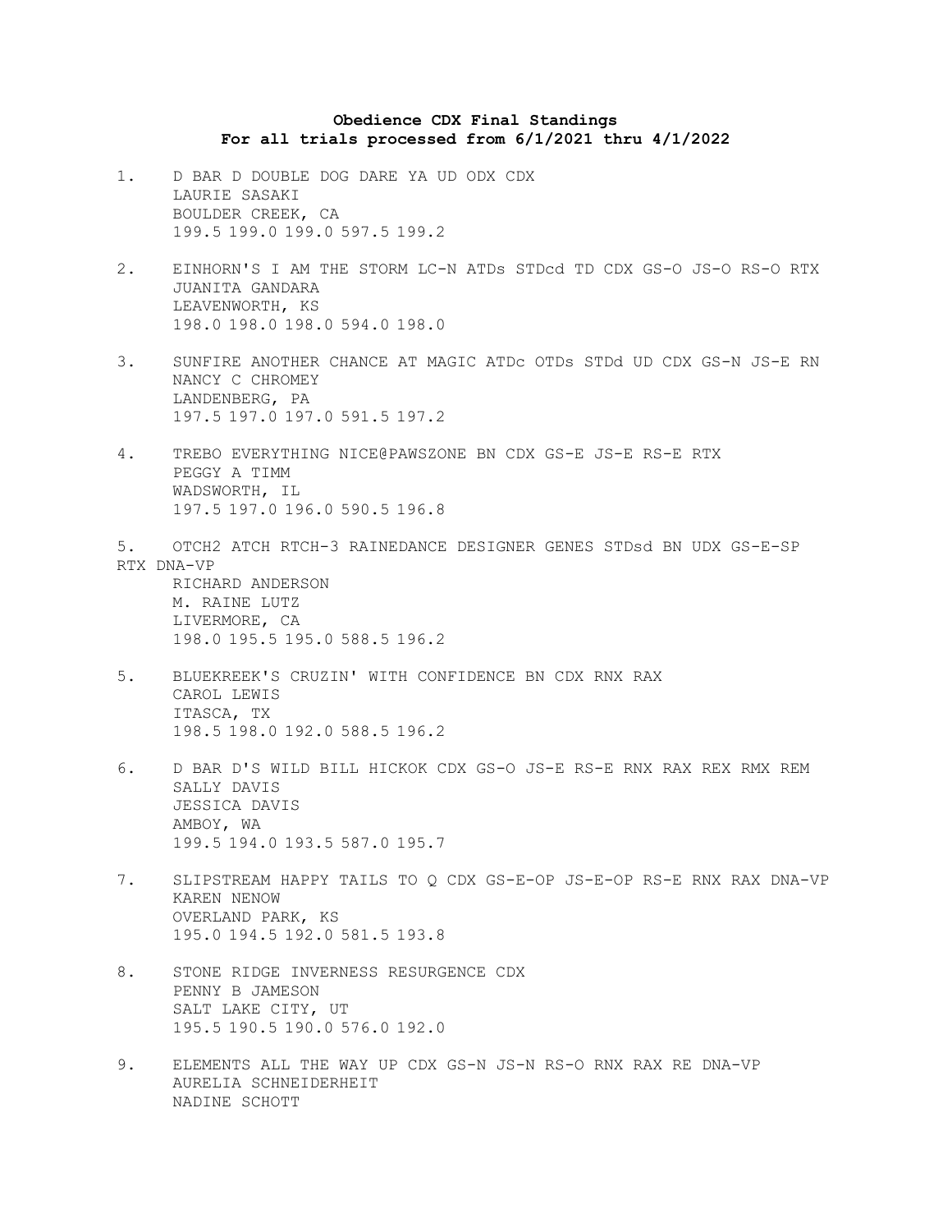## **Obedience CDX Final Standings For all trials processed from 6/1/2021 thru 4/1/2022**

- 1. D BAR D DOUBLE DOG DARE YA UD ODX CDX LAURIE SASAKI BOULDER CREEK, CA 199.5 199.0 199.0 597.5 199.2
- 2. EINHORN'S I AM THE STORM LC-N ATDs STDcd TD CDX GS-O JS-O RS-O RTX JUANITA GANDARA LEAVENWORTH, KS 198.0 198.0 198.0 594.0 198.0
- 3. SUNFIRE ANOTHER CHANCE AT MAGIC ATDc OTDs STDd UD CDX GS-N JS-E RN NANCY C CHROMEY LANDENBERG, PA 197.5 197.0 197.0 591.5 197.2
- 4. TREBO EVERYTHING NICE@PAWSZONE BN CDX GS-E JS-E RS-E RTX PEGGY A TIMM WADSWORTH, IL 197.5 197.0 196.0 590.5 196.8
- 5. OTCH2 ATCH RTCH-3 RAINEDANCE DESIGNER GENES STDsd BN UDX GS-E-SP RTX DNA-VP RICHARD ANDERSON

M. RAINE LUTZ LIVERMORE, CA 198.0 195.5 195.0 588.5 196.2

- 5. BLUEKREEK'S CRUZIN' WITH CONFIDENCE BN CDX RNX RAX CAROL LEWIS ITASCA, TX 198.5 198.0 192.0 588.5 196.2
- 6. D BAR D'S WILD BILL HICKOK CDX GS-O JS-E RS-E RNX RAX REX RMX REM SALLY DAVIS JESSICA DAVIS AMBOY, WA 199.5 194.0 193.5 587.0 195.7
- 7. SLIPSTREAM HAPPY TAILS TO Q CDX GS-E-OP JS-E-OP RS-E RNX RAX DNA-VP KAREN NENOW OVERLAND PARK, KS 195.0 194.5 192.0 581.5 193.8
- 8. STONE RIDGE INVERNESS RESURGENCE CDX PENNY B JAMESON SALT LAKE CITY, UT 195.5 190.5 190.0 576.0 192.0
- 9. ELEMENTS ALL THE WAY UP CDX GS-N JS-N RS-O RNX RAX RE DNA-VP AURELIA SCHNEIDERHEIT NADINE SCHOTT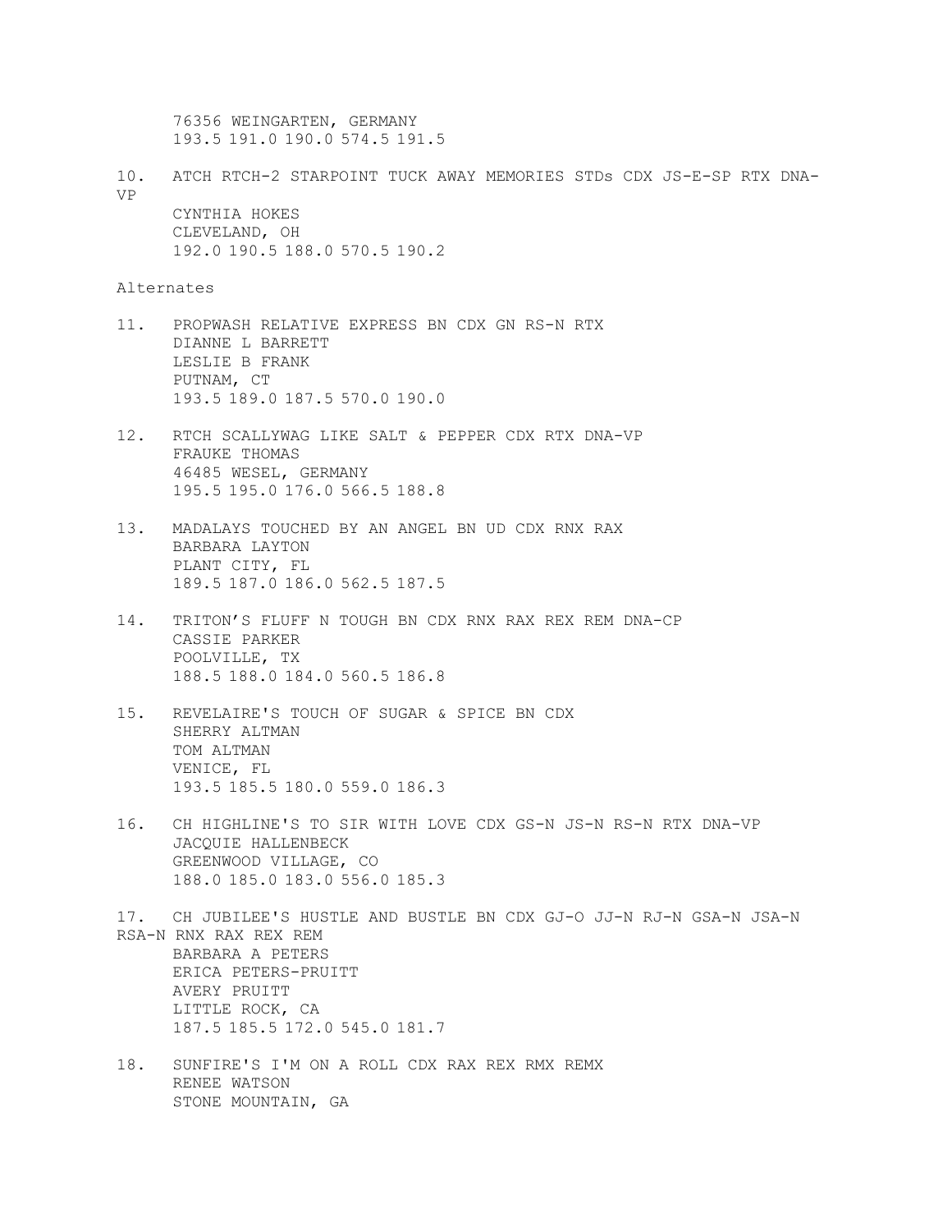76356 WEINGARTEN, GERMANY 193.5 191.0 190.0 574.5 191.5

10. ATCH RTCH-2 STARPOINT TUCK AWAY MEMORIES STDs CDX JS-E-SP RTX DNA-VP CYNTHIA HOKES CLEVELAND, OH 192.0 190.5 188.0 570.5 190.2

Alternates

- 11. PROPWASH RELATIVE EXPRESS BN CDX GN RS-N RTX DIANNE L BARRETT LESLIE B FRANK PUTNAM, CT 193.5 189.0 187.5 570.0 190.0
- 12. RTCH SCALLYWAG LIKE SALT & PEPPER CDX RTX DNA-VP FRAUKE THOMAS 46485 WESEL, GERMANY 195.5 195.0 176.0 566.5 188.8
- 13. MADALAYS TOUCHED BY AN ANGEL BN UD CDX RNX RAX BARBARA LAYTON PLANT CITY, FL 189.5 187.0 186.0 562.5 187.5
- 14. TRITON'S FLUFF N TOUGH BN CDX RNX RAX REX REM DNA-CP CASSIE PARKER POOLVILLE, TX 188.5 188.0 184.0 560.5 186.8
- 15. REVELAIRE'S TOUCH OF SUGAR & SPICE BN CDX SHERRY ALTMAN TOM ALTMAN VENICE, FL 193.5 185.5 180.0 559.0 186.3
- 16. CH HIGHLINE'S TO SIR WITH LOVE CDX GS-N JS-N RS-N RTX DNA-VP JACQUIE HALLENBECK GREENWOOD VILLAGE, CO 188.0 185.0 183.0 556.0 185.3
- 17. CH JUBILEE'S HUSTLE AND BUSTLE BN CDX GJ-O JJ-N RJ-N GSA-N JSA-N RSA-N RNX RAX REX REM BARBARA A PETERS ERICA PETERS-PRUITT AVERY PRUITT LITTLE ROCK, CA 187.5 185.5 172.0 545.0 181.7
- 18. SUNFIRE'S I'M ON A ROLL CDX RAX REX RMX REMX RENEE WATSON STONE MOUNTAIN, GA